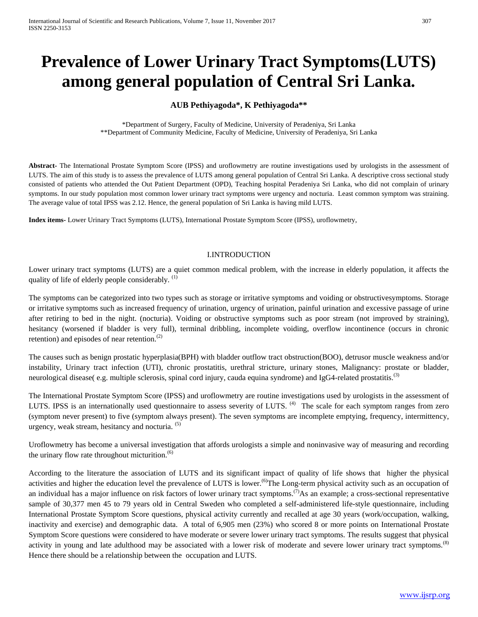# **Prevalence of Lower Urinary Tract Symptoms(LUTS) among general population of Central Sri Lanka.**

# **AUB Pethiyagoda\*, K Pethiyagoda\*\***

\*Department of Surgery, Faculty of Medicine, University of Peradeniya, Sri Lanka \*\*Department of Community Medicine, Faculty of Medicine, University of Peradeniya, Sri Lanka

**Abstract-** The International Prostate Symptom Score (IPSS) and uroflowmetry are routine investigations used by urologists in the assessment of LUTS. The aim of this study is to assess the prevalence of LUTS among general population of Central Sri Lanka. A descriptive cross sectional study consisted of patients who attended the Out Patient Department (OPD), Teaching hospital Peradeniya Sri Lanka, who did not complain of urinary symptoms. In our study population most common lower urinary tract symptoms were urgency and nocturia. Least common symptom was straining. The average value of total IPSS was 2.12. Hence, the general population of Sri Lanka is having mild LUTS.

**Index items-** Lower Urinary Tract Symptoms (LUTS), International Prostate Symptom Score (IPSS), uroflowmetry,

## I.INTRODUCTION

Lower urinary tract symptoms (LUTS) are a quiet common medical problem, with the increase in elderly population, it affects the quality of life of elderly people considerably.  $(1)$ 

The symptoms can be categorized into two types such as storage or irritative symptoms and voiding or obstructivesymptoms. Storage or irritative symptoms such as increased frequency of urination, urgency of urination, painful urination and excessive passage of urine after retiring to bed in the night. (nocturia). Voiding or obstructive symptoms such as poor stream (not improved by straining), hesitancy (worsened if bladder is very full), terminal dribbling, incomplete voiding, overflow incontinence (occurs in chronic retention) and episodes of near retention.<sup>(2)</sup>

The causes such as benign prostatic hyperplasia(BPH) with bladder outflow tract obstruction(BOO), detrusor muscle weakness and/or instability, Urinary tract infection (UTI), chronic prostatitis, urethral stricture, urinary stones, Malignancy: prostate or bladder, neurological disease(e.g. multiple sclerosis, spinal cord injury, cauda equina syndrome) and IgG4-related prostatitis.<sup>(3)</sup>

The International Prostate Symptom Score (IPSS) and uroflowmetry are routine investigations used by urologists in the assessment of LUTS. IPSS is an internationally used questionnaire to assess severity of LUTS. <sup>(4)</sup> The scale for each symptom ranges from zero (symptom never present) to five (symptom always present). The seven symptoms are incomplete emptying, frequency, intermittency, urgency, weak stream, hesitancy and nocturia.  $(5)$ 

Uroflowmetry has become a universal investigation that affords urologists a simple and noninvasive way of measuring and recording the urinary flow rate throughout micturition. $(6)$ 

According to the literature the association of LUTS and its significant impact of quality of life shows that higher the physical activities and higher the education level the prevalence of LUTS is lower.<sup>(6)</sup>The Long-term physical activity such as an occupation of an individual has a major influence on risk factors of lower urinary tract symptoms.<sup>(7)</sup>As an example; a cross-sectional representative sample of 30,377 men 45 to 79 years old in Central Sweden who completed a self-administered life-style questionnaire, including International Prostate Symptom Score questions, physical activity currently and recalled at age 30 years (work/occupation, walking, inactivity and exercise) and demographic data. A total of 6,905 men (23%) who scored 8 or more points on International Prostate Symptom Score questions were considered to have moderate or severe lower urinary tract symptoms. The results suggest that physical activity in young and late adulthood may be associated with a lower risk of moderate and severe lower urinary tract symptoms.<sup>(8)</sup> Hence there should be a relationship between the occupation and LUTS.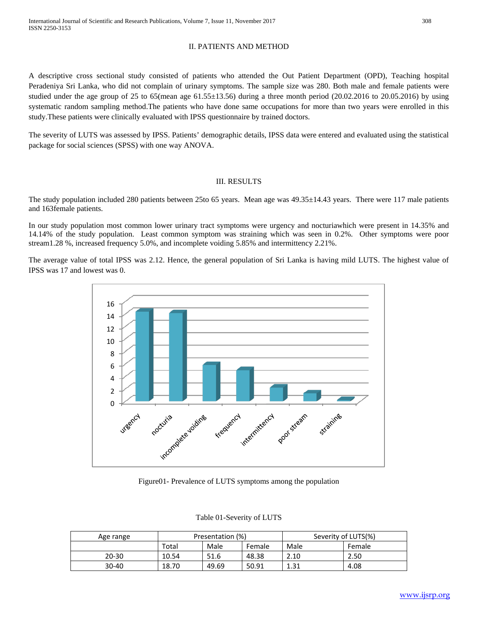## II. PATIENTS AND METHOD

A descriptive cross sectional study consisted of patients who attended the Out Patient Department (OPD), Teaching hospital Peradeniya Sri Lanka, who did not complain of urinary symptoms. The sample size was 280. Both male and female patients were studied under the age group of 25 to 65(mean age  $61.55\pm13.56$ ) during a three month period (20.02.2016 to 20.05.2016) by using systematic random sampling method.The patients who have done same occupations for more than two years were enrolled in this study.These patients were clinically evaluated with IPSS questionnaire by trained doctors.

The severity of LUTS was assessed by IPSS. Patients' demographic details, IPSS data were entered and evaluated using the statistical package for social sciences (SPSS) with one way ANOVA.

## III. RESULTS

The study population included 280 patients between 25to 65 years. Mean age was 49.35±14.43 years. There were 117 male patients and 163female patients.

In our study population most common lower urinary tract symptoms were urgency and nocturiawhich were present in 14.35% and 14.14% of the study population. Least common symptom was straining which was seen in 0.2%. Other symptoms were poor stream1.28 %, increased frequency 5.0%, and incomplete voiding 5.85% and intermittency 2.21%.

The average value of total IPSS was 2.12. Hence, the general population of Sri Lanka is having mild LUTS. The highest value of IPSS was 17 and lowest was 0.



Figure01- Prevalence of LUTS symptoms among the population

| Age range | Presentation (%) |       |        | Severity of LUTS(%) |        |
|-----------|------------------|-------|--------|---------------------|--------|
|           | Total            | Male  | Female | Male                | Female |
| $20 - 30$ | 10.54            | 51.6  | 48.38  | 2.10                | 2.50   |
| $30 - 40$ | 18.70            | 49.69 | 50.91  | 1.31                | 4.08   |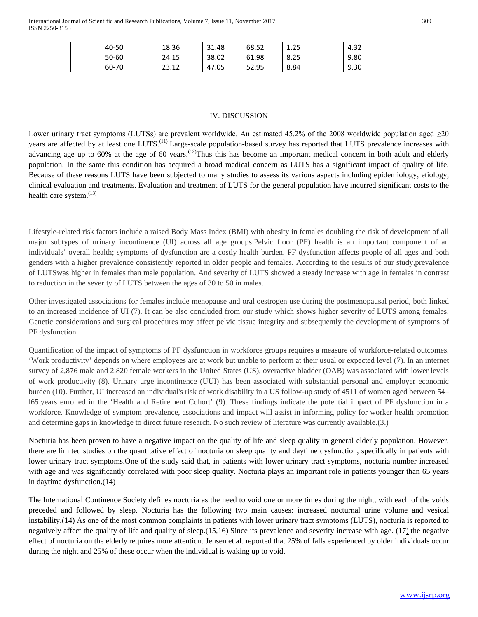| 40-50 | 18.36            | 21<br>31.48 | 68.52 | 1.25 | ່າາ<br>$-4.3$ ∠ |
|-------|------------------|-------------|-------|------|-----------------|
| 50-60 | 24.15            | 38.02       | 61.98 | 8.25 | 9.80            |
| 60-70 | າລ. 1 າ<br>23.12 | 47.05       | 52.95 | 8.84 | 9.30            |

## IV. DISCUSSION

Lower urinary tract symptoms (LUTSs) are prevalent worldwide. An estimated 45.2% of the 2008 worldwide population aged  $\geq$ 20 years are affected by at least one LUTS.<sup>(11)</sup> Large-scale population-based survey has reported that LUTS prevalence increases with advancing age up to 60% at the age of 60 years.<sup> $(12)$ </sup>Thus this has become an important medical concern in both adult and elderly population. In the same this condition has acquired a broad medical concern as LUTS has a significant impact of quality of life. Because of these reasons LUTS have been subjected to many studies to assess its various aspects including epidemiology, etiology, clinical evaluation and treatments. Evaluation and treatment of LUTS for the general population have incurred significant costs to the health care system. $(13)$ 

Lifestyle-related risk factors include a raised Body Mass Index (BMI) with obesity in females doubling the risk of development of all major subtypes of urinary incontinence (UI) across all age groups.Pelvic floor (PF) health is an important component of an individuals' overall health; symptoms of dysfunction are a costly health burden. PF dysfunction affects people of all ages and both genders with a higher prevalence consistently reported in older people and females. According to the results of our study,prevalence of LUTSwas higher in females than male population. And severity of LUTS showed a steady increase with age in females in contrast to reduction in the severity of LUTS between the ages of 30 to 50 in males.

Other investigated associations for females include menopause and oral oestrogen use during the postmenopausal period, both linked to an increased incidence of UI (7). It can be also concluded from our study which shows higher severity of LUTS among females. Genetic considerations and surgical procedures may affect pelvic tissue integrity and subsequently the development of symptoms of PF dysfunction.

Quantification of the impact of symptoms of PF dysfunction in workforce groups requires a measure of workforce-related outcomes. 'Work productivity' depends on where employees are at work but unable to perform at their usual or expected level (7). In an internet survey of 2,876 male and 2,820 female workers in the United States (US), overactive bladder (OAB) was associated with lower levels of work productivity (8). Urinary urge incontinence (UUI) has been associated with substantial personal and employer economic burden (10). Further, UI increased an individual's risk of work disability in a US follow-up study of 4511 of women aged between 54– l65 years enrolled in the 'Health and Retirement Cohort' (9). These findings indicate the potential impact of PF dysfunction in a workforce. Knowledge of symptom prevalence, associations and impact will assist in informing policy for worker health promotion and determine gaps in knowledge to direct future research. No such review of literature was currently available.(3.)

Nocturia has been proven to have a negative impact on the quality of life and sleep quality in general elderly population. However, there are limited studies on the quantitative effect of nocturia on sleep quality and daytime dysfunction, specifically in patients with lower urinary tract symptoms.One of the study said that, in patients with lower urinary tract symptoms, nocturia number increased with age and was significantly correlated with poor sleep quality. Nocturia plays an important role in patients younger than 65 years in daytime dysfunction.(14)

The International Continence Society defines nocturia as the need to void one or more times during the night, with each of the voids preceded and followed by sleep. Nocturia has the following two main causes: increased nocturnal urine volume and vesical instability.(14) As one of the most common complaints in patients with lower urinary tract symptoms (LUTS), nocturia is reported to negatively affect the quality of life and quality of sleep.(15,16) Since its prevalence and severity increase with age. (17) the negative effect of nocturia on the elderly requires more attention. Jensen et al. reported that 25% of falls experienced by older individuals occur during the night and 25% of these occur when the individual is waking up to void.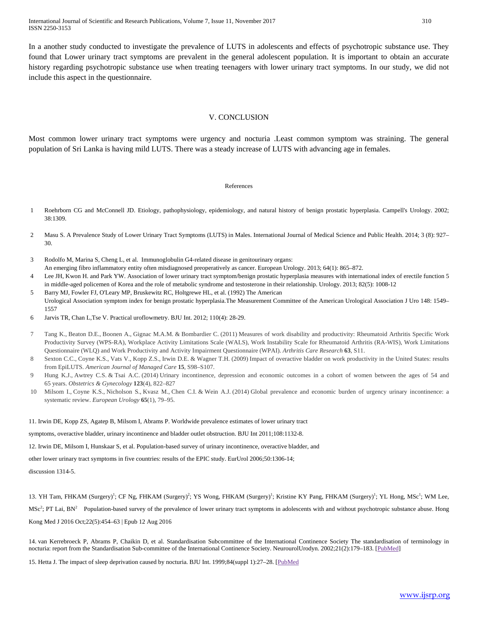International Journal of Scientific and Research Publications, Volume 7, Issue 11, November 2017 310 ISSN 2250-3153

In a another study conducted to investigate the prevalence of LUTS in adolescents and effects of psychotropic substance use. They found that Lower urinary tract symptoms are prevalent in the general adolescent population. It is important to obtain an accurate history regarding psychotropic substance use when treating teenagers with lower urinary tract symptoms. In our study, we did not include this aspect in the questionnaire.

#### V. CONCLUSION

Most common lower urinary tract symptoms were urgency and nocturia .Least common symptom was straining. The general population of Sri Lanka is having mild LUTS. There was a steady increase of LUTS with advancing age in females.

#### References

- 1 Roehrborn CG and McConnell JD. Etiology, pathophysiology, epidemiology, and natural history of benign prostatic hyperplasia. Campell's Urology. 2002; 38:1309.
- 2 Masu S. A Prevalence Study of Lower Urinary Tract Symptoms (LUTS) in Males. International Journal of Medical Science and Public Health. 2014; 3 (8): 927– 30.
- 3 Rodolfo M, Marina S, Cheng L, et al. Immunoglobulin G4-related disease in genitourinary organs: An emerging fibro inflammatory entity often misdiagnosed preoperatively as cancer. European Urology. 2013; 64(1): 865–872.
- 4 Lee JH, Kwon H. and Park YW. Association of lower urinary tract symptom/benign prostatic hyperplasia measures with international index of erectile function 5 in middle-aged policemen of Korea and the role of metabolic syndrome and testosterone in their relationship. Urology. 2013; 82(5): 1008-12
- 5 Barry MJ, Fowler FJ, O'Leary MP, Bruskewitz RC, Holtgrewe HL, et al. (1992) The American Urological Association symptom index for benign prostatic hyperplasia.The Measurement Committee of the American Urological Association J Uro 148: 1549– 1557
- 6 Jarvis TR, Chan L,Tse V. Practical uroflowmetry. BJU Int. 2012; 110(4): 28-29.
- 7 Tang K., Beaton D.E., Boonen A., Gignac M.A.M. & Bombardier C. (2011) Measures of work disability and productivity: Rheumatoid Arthritis Specific Work Productivity Survey (WPS-RA), Workplace Activity Limitations Scale (WALS), Work Instability Scale for Rheumatoid Arthritis (RA-WIS), Work Limitations Questionnaire (WLQ) and Work Productivity and Activity Impairment Questionnaire (WPAI). *Arthritis Care Research* **63**, S11.
- 8 Sexton C.C., Coyne K.S., Vats V., Kopp Z.S., Irwin D.E. & Wagner T.H. (2009) Impact of overactive bladder on work productivity in the United States: results from EpiLUTS. *American Journal of Managed Care* **15**, S98–S107.
- 9 Hung K.J., Awtrey C.S. & Tsai A.C. (2014) Urinary incontinence, depression and economic outcomes in a cohort of women between the ages of 54 and 65 years. *Obstetrics & Gynecology* **123**(4), 822–827
- 10 Milsom I., Coyne K.S., Nicholson S., Kvasz M., Chen C.I. & Wein A.J. (2014) Global prevalence and economic burden of urgency urinary incontinence: a systematic review. *European Urology* **65**(1), 79–95.

11. Irwin DE, Kopp ZS, Agatep B, Milsom I, Abrams P. Worldwide prevalence estimates of lower urinary tract

symptoms, overactive bladder, urinary incontinence and bladder outlet obstruction. BJU Int 2011;108:1132-8.

12. Irwin DE, Milsom I, Hunskaar S, et al. Population-based survey of urinary incontinence, overactive bladder, and

other lower urinary tract symptoms in five countries: results of the EPIC study. EurUrol 2006;50:1306-14;

discussion 1314-5.

13. YH Tam, FHKAM (Surgery)<sup>1</sup>; CF Ng, FHKAM (Surgery)<sup>2</sup>; YS Wong, FHKAM (Surgery)<sup>1</sup>; Kristine KY Pang, FHKAM (Surgery)<sup>1</sup>; YL Hong, MSc<sup>1</sup>; WM Lee,  $MSc<sup>2</sup>$ ; PT Lai, BN<sup>2</sup> Population-based survey of the prevalence of lower urinary tract symptoms in adolescents with and without psychotropic substance abuse[. Hong](http://www.hkmj.org/abstracts/v22n5/toc.htm) Kong Med J 2016 [Oct;22\(5\):4](http://www.hkmj.org/abstracts/v22n5/toc.htm)54–63 | Epub 12 Aug 2016

14. van Kerrebroeck P, Abrams P, Chaikin D, et al. Standardisation Subcommittee of the International Continence Society The standardisation of terminology in nocturia: report from the Standardisation Sub-committee of the International Continence Society. NeurourolUrodyn. 2002;21(2):179-183. [\[PubMed\]](https://www.ncbi.nlm.nih.gov/pubmed/11857672)

15. Hetta J. The impact of sleep deprivation caused by nocturia. BJU Int. 1999;84(suppl 1):27–28. [\[PubMed](https://www.ncbi.nlm.nih.gov/pubmed/10674891)